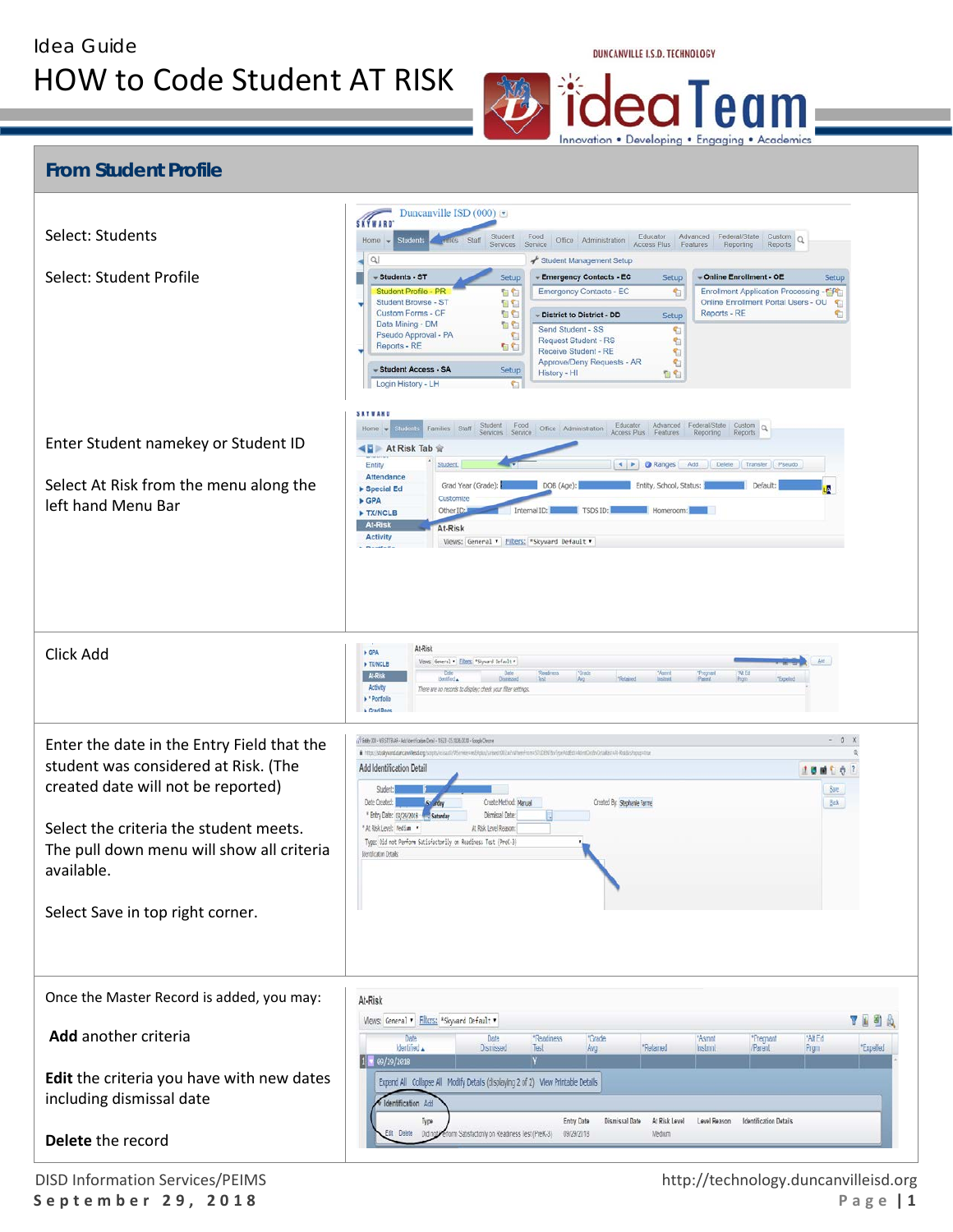Idea Guide

## HOW to Code Student AT RISK

DUNCANVILLE I.S.D. TECHNOLOGY

e<sub>1</sub> Innovation . Developing . Engaging . Academics

| <b>From Student Profile</b><br>Select: Students<br>Select: Student Profile<br>Enter Student namekey or Student ID<br>Select At Risk from the menu along the<br>left hand Menu Bar                                                                                 | Duncanville ISD $(000)$<br>SKTWARD<br>Student<br>Food<br>Educator<br>Advanced Federal/State Custom Q<br>Office Administration<br>Home $\rightarrow$<br>Student<br>Access Plus Features<br>Services<br>Service<br>Reporting<br>Reports<br>Q<br>Student Management Setup<br>- Emergency Contacts - EC<br>- Students - ST<br>Setup<br>- Online Enrollment - OE<br>Setup<br><b>Setup</b><br>Student Profile - PR<br>百名<br><b>Emergency Contacts - EC</b><br>Enrollment Application Processing -<br>右<br>Student Browse - ST<br>Online Enrollment Portal Users - OU<br>自白<br>伯<br>Custom Forms - CF<br><b>DB</b><br>Reports - RE<br>G<br>- District to District - DD<br>Setup<br>Data Mining - DM<br><b>DO</b><br>Send Student - SS<br>G<br>Pseudo Approval - PA<br>t<br>Request Student - RS<br>t<br>Reports - RE<br>99<br>Receive Student - RE<br>G<br>Approve/Deny Requests - AR<br>C<br>- Student Access - SA<br>Setup<br>History - HI<br>自白<br>Login History - LH<br><b>S</b><br><b>SETWAND</b><br>Student Food<br>Educator Advanced Federal/State Custom Q<br>Families Staff<br>Office Administration<br>Home $\rightarrow$<br>Services<br>Service<br>Access Plus Features<br>Reporting<br>Reports<br>4日 At Risk Tab 会<br>◀ ▶ ● Ranges<br>Transfer Pseudo<br>Entity<br>Student<br>Add.<br>Delete<br>Attendance<br>Grad Year (Grade):<br>DOB (Age):<br>Entity, School, Status:<br>Default:<br>ÌА.<br>Special Ed<br>Customize<br><b>&gt; GPA</b><br>Other ID:<br>Internal ID<br>TX/NCLB<br><b>At-Risk</b><br>At-Risk<br><b>Activity</b> |
|-------------------------------------------------------------------------------------------------------------------------------------------------------------------------------------------------------------------------------------------------------------------|----------------------------------------------------------------------------------------------------------------------------------------------------------------------------------------------------------------------------------------------------------------------------------------------------------------------------------------------------------------------------------------------------------------------------------------------------------------------------------------------------------------------------------------------------------------------------------------------------------------------------------------------------------------------------------------------------------------------------------------------------------------------------------------------------------------------------------------------------------------------------------------------------------------------------------------------------------------------------------------------------------------------------------------------------------------------------------------------------------------------------------------------------------------------------------------------------------------------------------------------------------------------------------------------------------------------------------------------------------------------------------------------------------------------------------------------------------------------------------------------------------------------------------------|
| Click Add                                                                                                                                                                                                                                                         | Views: General v Filters: "Skyward Default v<br>$P = 1$<br>At-Risk<br><b>+ GPA</b><br>Views: General . Ellen: "Skyward Default .<br><b>FIX/NCLB</b><br><b>WA Ed</b><br>Pages<br>Date<br>Readmess<br><b>Grate</b><br>*Pregnant<br>*Parent<br>At-Risi<br>identified .<br><b>Expelled</b><br>Activity<br>There are no records to display; check your filter settings.<br>Pertfolio<br><b>L Grad Roos</b>                                                                                                                                                                                                                                                                                                                                                                                                                                                                                                                                                                                                                                                                                                                                                                                                                                                                                                                                                                                                                                                                                                                                  |
| Enter the date in the Entry Field that the<br>student was considered at Risk. (The<br>created date will not be reported)<br>Select the criteria the student meets.<br>The pull down menu will show all criteria<br>available.<br>Select Save in top right corner. | $-0 X$<br>(1) Entity 300 - WS ST TBAR - Add loertification Detail - 11523 - 05.18.06.00.30 - Google Chrome<br># https://dodywaddurcandexdorg/uspt/sexast/Winniewed-play/arized/002.a/vWareFrancSUDENT&vTppAddEddablesDetb/Detail.co.A/RokbsPappatra<br>Add Identification Detail<br>100107<br>Student:<br>See<br>Date Created:<br>Create Method: Manual<br>Created By: Stephanie Farme<br>Back<br>* Entry Date: 09/29/2018 **<br>Dismissal Date:<br>Saturda<br>At Risk Level: Medium<br>At Risk Level Reason:<br>Type: Did not Perform Satisfactorily on Readiness Test (PreK-3)<br>Identicaton Details:                                                                                                                                                                                                                                                                                                                                                                                                                                                                                                                                                                                                                                                                                                                                                                                                                                                                                                                               |
| Once the Master Record is added, you may:<br>Add another criteria<br>Edit the criteria you have with new dates<br>including dismissal date<br>Delete the record                                                                                                   | At-Risk<br>719<br>Views: General v Filters: *Skyward Default v<br>"All Ed<br>Date<br>Date<br>*Readiness<br>*Grade<br>*Pregnant<br>"Asmnt<br>"Relained<br>Identified A<br>Disnissed<br>Avg<br>Instmnt<br>Parent<br>Prgm<br>*Expelled<br>Test<br>$1$ $\sqrt{99/29/2818}$<br>Expand All Collapse All Modify Details (displaying 2 of 2) View Printable Details<br>Identification Add<br>At Risk Level<br>Level Reason<br><b>Identification Details</b><br>Entry Date<br>Dismissal Date<br>Type<br><b>Delete</b><br>Didin<br>form Satisfactonly on Readiness Test (PreK-3).<br>09/29/2018<br>Medium                                                                                                                                                                                                                                                                                                                                                                                                                                                                                                                                                                                                                                                                                                                                                                                                                                                                                                                                        |